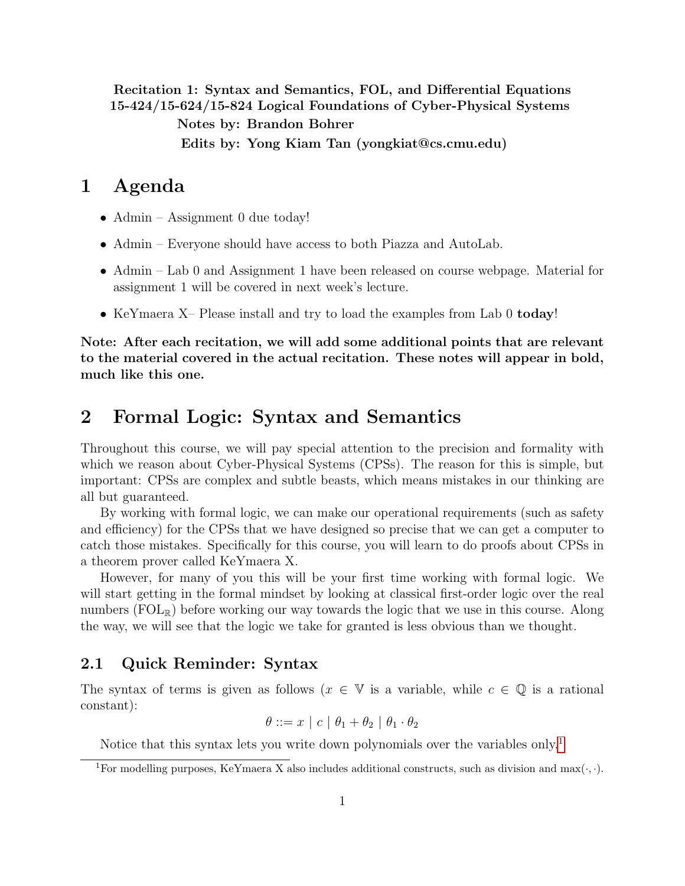Recitation 1: Syntax and Semantics, FOL, and Differential Equations 15-424/15-624/15-824 Logical Foundations of Cyber-Physical Systems

Notes by: Brandon Bohrer

Edits by: Yong Kiam Tan (yongkiat@cs.cmu.edu)

## 1 Agenda

- Admin Assignment 0 due today!
- Admin Everyone should have access to both Piazza and AutoLab.
- Admin Lab 0 and Assignment 1 have been released on course webpage. Material for assignment 1 will be covered in next week's lecture.
- KeYmaera X– Please install and try to load the examples from Lab 0 today!

Note: After each recitation, we will add some additional points that are relevant to the material covered in the actual recitation. These notes will appear in bold, much like this one.

## 2 Formal Logic: Syntax and Semantics

Throughout this course, we will pay special attention to the precision and formality with which we reason about Cyber-Physical Systems (CPSs). The reason for this is simple, but important: CPSs are complex and subtle beasts, which means mistakes in our thinking are all but guaranteed.

By working with formal logic, we can make our operational requirements (such as safety and efficiency) for the CPSs that we have designed so precise that we can get a computer to catch those mistakes. Specifically for this course, you will learn to do proofs about CPSs in a theorem prover called KeYmaera X.

However, for many of you this will be your first time working with formal logic. We will start getting in the formal mindset by looking at classical first-order logic over the real numbers (FOL<sub>R</sub>) before working our way towards the logic that we use in this course. Along the way, we will see that the logic we take for granted is less obvious than we thought.

### 2.1 Quick Reminder: Syntax

The syntax of terms is given as follows ( $x \in V$  is a variable, while  $c \in \mathbb{Q}$  is a rational constant):

$$
\theta ::= x \mid c \mid \theta_1 + \theta_2 \mid \theta_1 \cdot \theta_2
$$

Notice that this syntax lets you write down polynomials over the variables only.<sup>[1](#page-0-0)</sup>

<span id="page-0-0"></span><sup>&</sup>lt;sup>1</sup>For modelling purposes, KeYmaera X also includes additional constructs, such as division and max $(\cdot, \cdot)$ .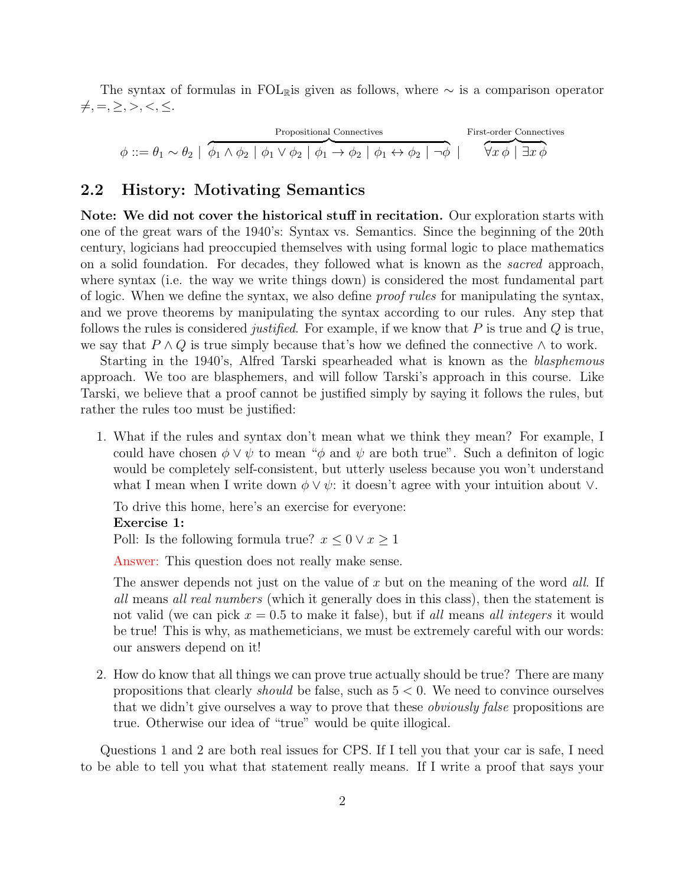The syntax of formulas in FOLRis given as follows, where  $\sim$  is a comparison operator  $\neq, =, \geq, >, <, \leq.$ 

| Propositional Connections                                                                                                                                                 | First-order Connections |
|---------------------------------------------------------------------------------------------------------------------------------------------------------------------------|-------------------------|
| $\phi ::= \theta_1 \sim \theta_2 \mid \phi_1 \wedge \phi_2 \mid \phi_1 \vee \phi_2 \mid \phi_1 \rightarrow \phi_2 \mid \phi_1 \leftrightarrow \phi_2 \mid \neg \phi \mid$ | First-order Connections |

### <span id="page-1-0"></span>2.2 History: Motivating Semantics

Note: We did not cover the historical stuff in recitation. Our exploration starts with one of the great wars of the 1940's: Syntax vs. Semantics. Since the beginning of the 20th century, logicians had preoccupied themselves with using formal logic to place mathematics on a solid foundation. For decades, they followed what is known as the sacred approach, where syntax (i.e. the way we write things down) is considered the most fundamental part of logic. When we define the syntax, we also define proof rules for manipulating the syntax, and we prove theorems by manipulating the syntax according to our rules. Any step that follows the rules is considered *justified*. For example, if we know that  $P$  is true and  $Q$  is true, we say that  $P \wedge Q$  is true simply because that's how we defined the connective  $\wedge$  to work.

Starting in the 1940's, Alfred Tarski spearheaded what is known as the *blasphemous* approach. We too are blasphemers, and will follow Tarski's approach in this course. Like Tarski, we believe that a proof cannot be justified simply by saying it follows the rules, but rather the rules too must be justified:

1. What if the rules and syntax don't mean what we think they mean? For example, I could have chosen  $\phi \vee \psi$  to mean " $\phi$  and  $\psi$  are both true". Such a definition of logic would be completely self-consistent, but utterly useless because you won't understand what I mean when I write down  $\phi \vee \psi$ : it doesn't agree with your intuition about  $\vee$ .

To drive this home, here's an exercise for everyone: Exercise 1:

Poll: Is the following formula true?  $x \leq 0 \vee x \geq 1$ 

Answer: This question does not really make sense.

The answer depends not just on the value of x but on the meaning of the word all. If all means all real numbers (which it generally does in this class), then the statement is not valid (we can pick  $x = 0.5$  to make it false), but if all means all integers it would be true! This is why, as mathemeticians, we must be extremely careful with our words: our answers depend on it!

2. How do know that all things we can prove true actually should be true? There are many propositions that clearly *should* be false, such as  $5 < 0$ . We need to convince ourselves that we didn't give ourselves a way to prove that these obviously false propositions are true. Otherwise our idea of "true" would be quite illogical.

Questions 1 and 2 are both real issues for CPS. If I tell you that your car is safe, I need to be able to tell you what that statement really means. If I write a proof that says your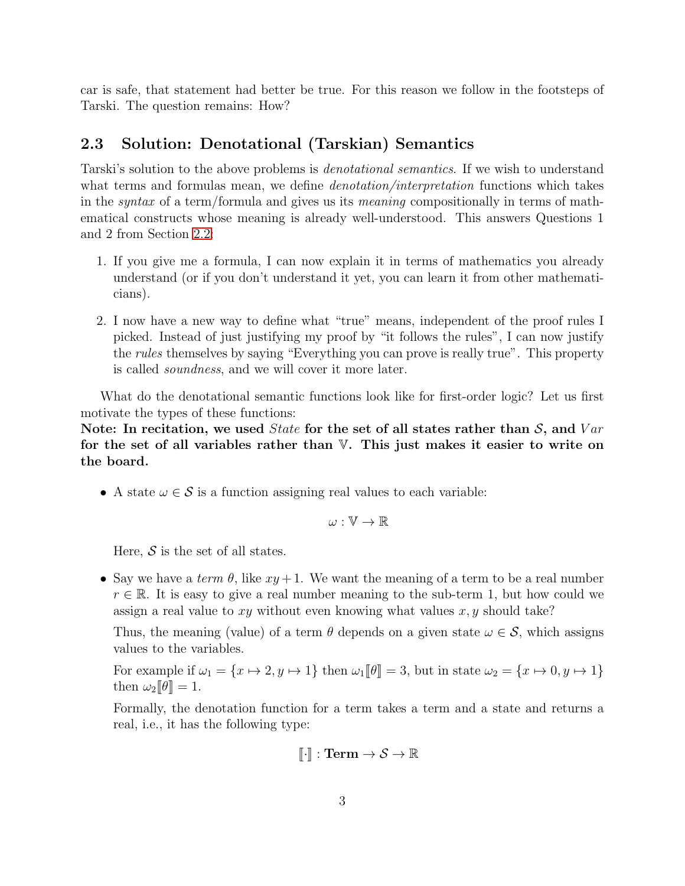car is safe, that statement had better be true. For this reason we follow in the footsteps of Tarski. The question remains: How?

## 2.3 Solution: Denotational (Tarskian) Semantics

Tarski's solution to the above problems is denotational semantics. If we wish to understand what terms and formulas mean, we define *denotation/interpretation* functions which takes in the syntax of a term/formula and gives us its meaning compositionally in terms of mathematical constructs whose meaning is already well-understood. This answers Questions 1 and 2 from Section [2.2:](#page-1-0)

- 1. If you give me a formula, I can now explain it in terms of mathematics you already understand (or if you don't understand it yet, you can learn it from other mathematicians).
- 2. I now have a new way to define what "true" means, independent of the proof rules I picked. Instead of just justifying my proof by "it follows the rules", I can now justify the *rules* themselves by saying "Everything you can prove is really true". This property is called soundness, and we will cover it more later.

What do the denotational semantic functions look like for first-order logic? Let us first motivate the types of these functions:

Note: In recitation, we used *State* for the set of all states rather than  $S$ , and  $Var$ for the set of all variables rather than  $V$ . This just makes it easier to write on the board.

• A state  $\omega \in \mathcal{S}$  is a function assigning real values to each variable:

$$
\omega:\mathbb{V}\to\mathbb{R}
$$

Here,  $S$  is the set of all states.

• Say we have a term  $\theta$ , like  $xy + 1$ . We want the meaning of a term to be a real number  $r \in \mathbb{R}$ . It is easy to give a real number meaning to the sub-term 1, but how could we assign a real value to  $xy$  without even knowing what values  $x, y$  should take?

Thus, the meaning (value) of a term  $\theta$  depends on a given state  $\omega \in \mathcal{S}$ , which assigns values to the variables.

For example if  $\omega_1 = \{x \mapsto 2, y \mapsto 1\}$  then  $\omega_1[\![\theta]\!] = 3$ , but in state  $\omega_2 = \{x \mapsto 0, y \mapsto 1\}$ then  $\omega_2[\![\theta]\!]=1$ .

Formally, the denotation function for a term takes a term and a state and returns a real, i.e., it has the following type:

$$
[\![\cdot]\!] : \mathbf{Term} \to \mathcal{S} \to \mathbb{R}
$$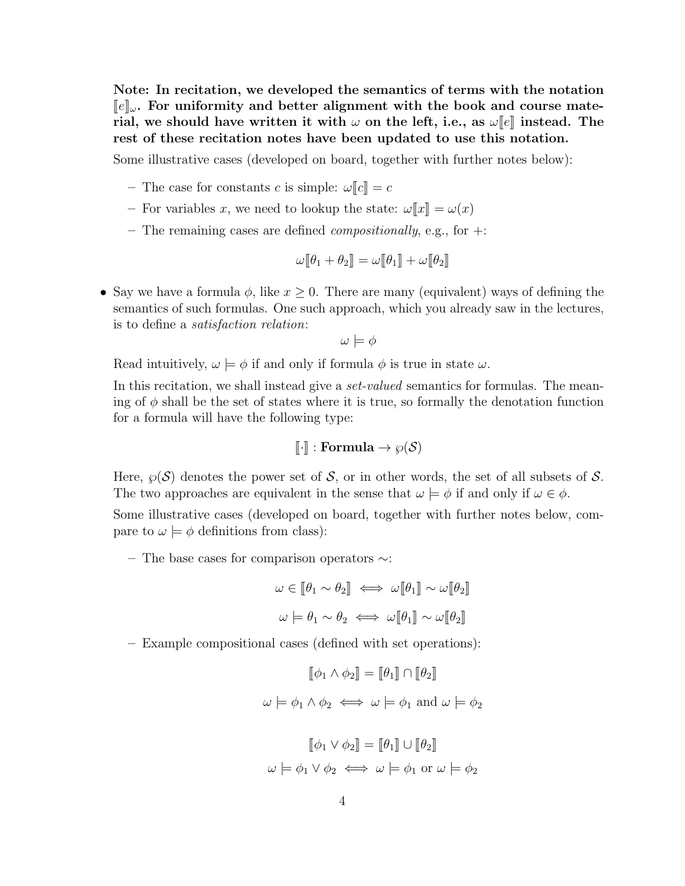Note: In recitation, we developed the semantics of terms with the notation  $\llbracket e \rrbracket_\omega$ . For uniformity and better alignment with the book and course material, we should have written it with  $\omega$  on the left, i.e., as  $\omega[\![e]\!]$  instead. The rest of these recitation notes have been updated to use this notation.

Some illustrative cases (developed on board, together with further notes below):

- The case for constants c is simple:  $\omega$ [ $c$ ] = c
- For variables x, we need to lookup the state:  $\omega \|x\| = \omega(x)$
- The remaining cases are defined *compositionally*, e.g., for  $+$ :

$$
\omega[\![\theta_1+\theta_2]\!]=\omega[\![\theta_1]\!]+\omega[\![\theta_2]\!]
$$

• Say we have a formula  $\phi$ , like  $x \geq 0$ . There are many (equivalent) ways of defining the semantics of such formulas. One such approach, which you already saw in the lectures, is to define a satisfaction relation:

$$
\omega \models \phi
$$

Read intuitively,  $\omega \models \phi$  if and only if formula  $\phi$  is true in state  $\omega$ .

In this recitation, we shall instead give a *set-valued* semantics for formulas. The meaning of  $\phi$  shall be the set of states where it is true, so formally the denotation function for a formula will have the following type:

$$
[\![\cdot]\!]: \textbf{Formula} \to \wp(\mathcal{S})
$$

Here,  $\wp(\mathcal{S})$  denotes the power set of  $\mathcal{S}$ , or in other words, the set of all subsets of  $\mathcal{S}$ . The two approaches are equivalent in the sense that  $\omega \models \phi$  if and only if  $\omega \in \phi$ .

Some illustrative cases (developed on board, together with further notes below, compare to  $\omega \models \phi$  definitions from class):

– The base cases for comparison operators ∼:

$$
\omega \in [\![\theta_1 \sim \theta_2]\!] \iff \omega[\![\theta_1]\!] \sim \omega[\![\theta_2]\!]
$$

$$
\omega \models \theta_1 \sim \theta_2 \iff \omega[\![\theta_1]\!] \sim \omega[\![\theta_2]\!]
$$

– Example compositional cases (defined with set operations):

$$
[\![\phi_1 \wedge \phi_2]\!] = [\![\theta_1]\!] \cap [\![\theta_2]\!]
$$

$$
\omega \models \phi_1 \wedge \phi_2 \iff \omega \models \phi_1 \text{ and } \omega \models \phi_2
$$

$$
[\![\phi_1 \vee \phi_2]\!] = [\![\theta_1]\!] \cup [\![\theta_2]\!]
$$

$$
\omega \models \phi_1 \lor \phi_2 \iff \omega \models \phi_1 \text{ or } \omega \models \phi_2
$$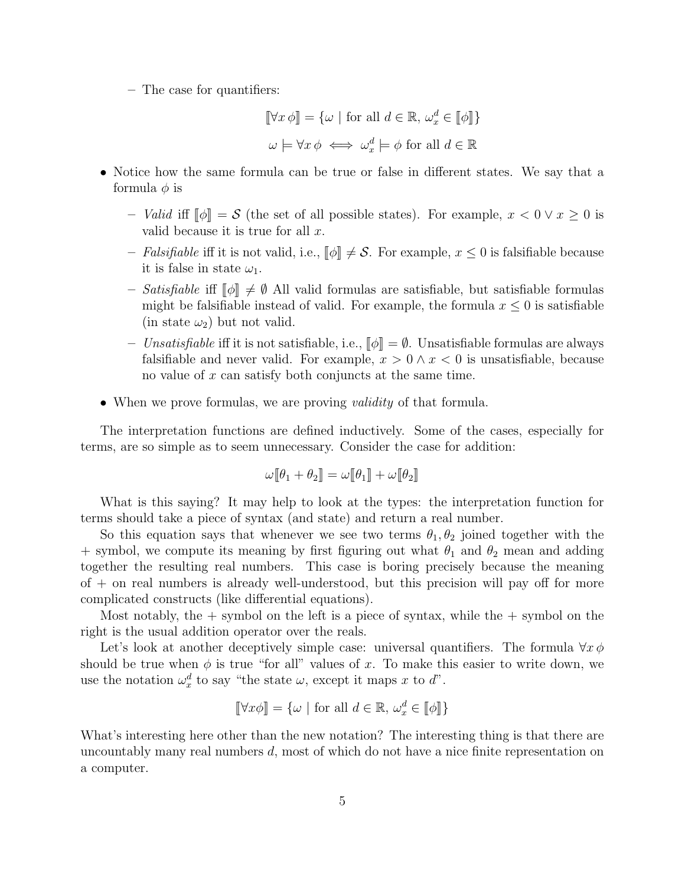– The case for quantifiers:

$$
[\![\forall x \, \phi]\!] = \{\omega \mid \text{for all } d \in \mathbb{R}, \, \omega_x^d \in [\![\phi]\!] \}
$$

$$
\omega \models \forall x \, \phi \iff \omega_x^d \models \phi \text{ for all } d \in \mathbb{R}
$$

- Notice how the same formula can be true or false in different states. We say that a formula  $\phi$  is
	- Valid iff  $\llbracket \phi \rrbracket = S$  (the set of all possible states). For example,  $x < 0 \vee x \ge 0$  is valid because it is true for all  $x$ .
	- Falsifiable iff it is not valid, i.e.,  $[\![\phi]\!] \neq \mathcal{S}$ . For example,  $x \leq 0$  is falsifiable because it is false in state  $\omega_1$ .
	- Satisfiable iff  $\llbracket \phi \rrbracket \neq \emptyset$  All valid formulas are satisfiable, but satisfiable formulas might be falsifiable instead of valid. For example, the formula  $x \leq 0$  is satisfiable (in state  $\omega_2$ ) but not valid.
	- Unsatisfiable iff it is not satisfiable, i.e.,  $\llbracket \phi \rrbracket = \emptyset$ . Unsatisfiable formulas are always falsifiable and never valid. For example,  $x > 0 \land x < 0$  is unsatisfiable, because no value of x can satisfy both conjuncts at the same time.
- When we prove formulas, we are proving *validity* of that formula.

The interpretation functions are defined inductively. Some of the cases, especially for terms, are so simple as to seem unnecessary. Consider the case for addition:

$$
\omega[\![\theta_1+\theta_2]\!]=\omega[\![\theta_1]\!]+\omega[\![\theta_2]\!]
$$

What is this saying? It may help to look at the types: the interpretation function for terms should take a piece of syntax (and state) and return a real number.

So this equation says that whenever we see two terms  $\theta_1, \theta_2$  joined together with the + symbol, we compute its meaning by first figuring out what  $\theta_1$  and  $\theta_2$  mean and adding together the resulting real numbers. This case is boring precisely because the meaning of + on real numbers is already well-understood, but this precision will pay off for more complicated constructs (like differential equations).

Most notably, the  $+$  symbol on the left is a piece of syntax, while the  $+$  symbol on the right is the usual addition operator over the reals.

Let's look at another deceptively simple case: universal quantifiers. The formula  $\forall x \phi$ should be true when  $\phi$  is true "for all" values of x. To make this easier to write down, we use the notation  $\omega_x^d$  to say "the state  $\omega$ , except it maps x to d".

$$
[\![\forall x \phi]\!] = \{\omega \mid \text{for all } d \in \mathbb{R}, \omega_x^d \in [\![\phi]\!] \}
$$

What's interesting here other than the new notation? The interesting thing is that there are uncountably many real numbers  $d$ , most of which do not have a nice finite representation on a computer.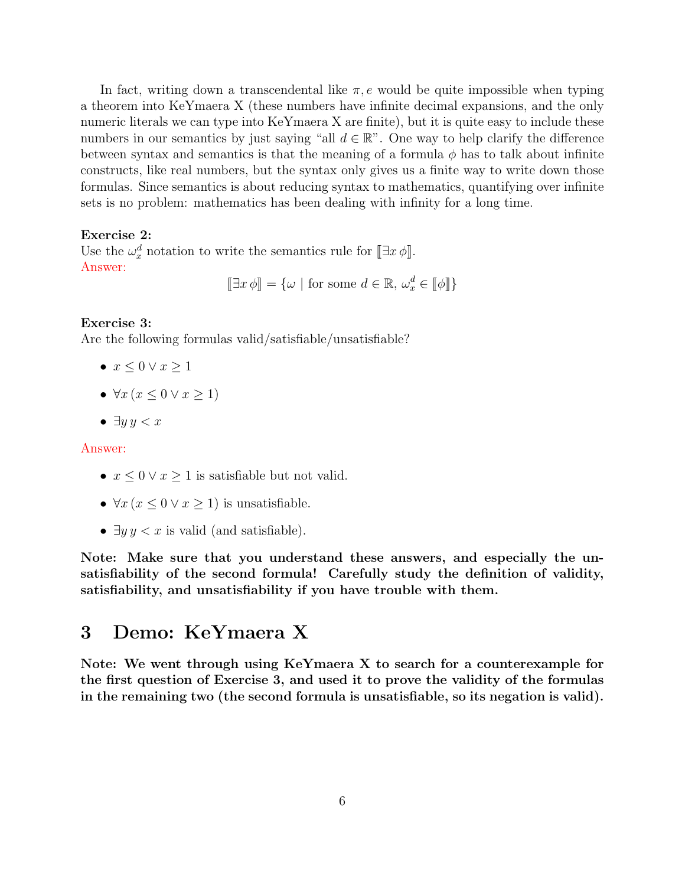In fact, writing down a transcendental like  $\pi, e$  would be quite impossible when typing a theorem into KeYmaera X (these numbers have infinite decimal expansions, and the only numeric literals we can type into KeYmaera X are finite), but it is quite easy to include these numbers in our semantics by just saying "all  $d \in \mathbb{R}$ ". One way to help clarify the difference between syntax and semantics is that the meaning of a formula  $\phi$  has to talk about infinite constructs, like real numbers, but the syntax only gives us a finite way to write down those formulas. Since semantics is about reducing syntax to mathematics, quantifying over infinite sets is no problem: mathematics has been dealing with infinity for a long time.

#### Exercise 2:

Use the  $\omega_x^d$  notation to write the semantics rule for  $[\exists x \phi]$ .<br>Approximately Answer:  $[\exists x \phi] = {\omega \mid \text{for some } d \in \mathbb{R}, \omega_x^d \in [\phi]}$ 

#### Exercise 3:

Are the following formulas valid/satisfiable/unsatisfiable?

- $x \leq 0 \vee x \geq 1$
- $\forall x \, (x \leq 0 \vee x \geq 1)$
- $\bullet \exists y \, y < x$

#### Answer:

- $x \leq 0 \vee x \geq 1$  is satisfiable but not valid.
- $\forall x (x \leq 0 \lor x \geq 1)$  is unsatisfiable.
- $\exists y \, y < x$  is valid (and satisfiable).

Note: Make sure that you understand these answers, and especially the unsatisfiability of the second formula! Carefully study the definition of validity, satisfiability, and unsatisfiability if you have trouble with them.

## 3 Demo: KeYmaera X

Note: We went through using KeYmaera X to search for a counterexample for the first question of Exercise 3, and used it to prove the validity of the formulas in the remaining two (the second formula is unsatisfiable, so its negation is valid).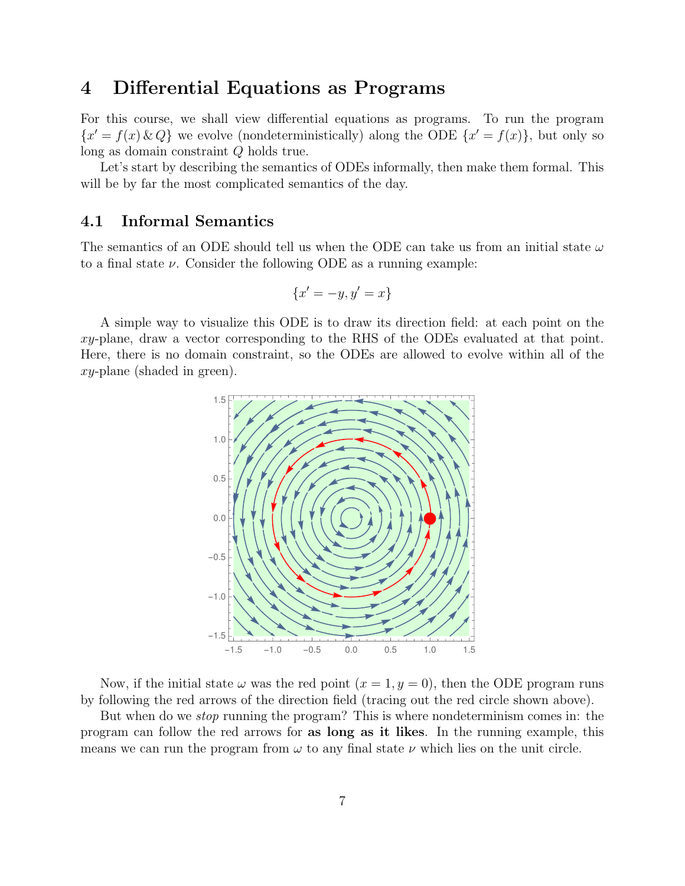# 4 Differential Equations as Programs

For this course, we shall view differential equations as programs. To run the program  ${x' = f(x) \& Q}$  we evolve (nondeterministically) along the ODE  ${x' = f(x)}$ , but only so long as domain constraint Q holds true.

Let's start by describing the semantics of ODEs informally, then make them formal. This will be by far the most complicated semantics of the day.

### 4.1 Informal Semantics

The semantics of an ODE should tell us when the ODE can take us from an initial state  $\omega$ to a final state  $\nu$ . Consider the following ODE as a running example:

$$
\{x' = -y, y' = x\}
$$

A simple way to visualize this ODE is to draw its direction field: at each point on the  $xy$ -plane, draw a vector corresponding to the RHS of the ODEs evaluated at that point. Here, there is no domain constraint, so the ODEs are allowed to evolve within all of the xy-plane (shaded in green).



Now, if the initial state  $\omega$  was the red point  $(x = 1, y = 0)$ , then the ODE program runs by following the red arrows of the direction field (tracing out the red circle shown above).

But when do we *stop* running the program? This is where nondeterminism comes in: the program can follow the red arrows for as long as it likes. In the running example, this means we can run the program from  $\omega$  to any final state  $\nu$  which lies on the unit circle.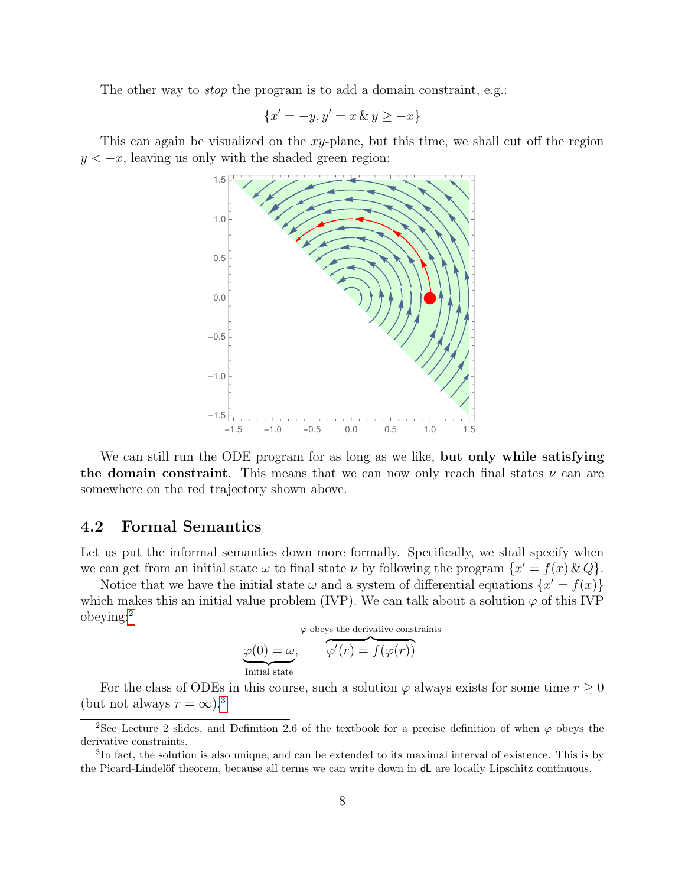The other way to *stop* the program is to add a domain constraint, e.g.:

$$
\{x'=-y,y'=x\,\&\,y\geq -x\}
$$

This can again be visualized on the  $xy$ -plane, but this time, we shall cut off the region  $y < -x$ , leaving us only with the shaded green region:



We can still run the ODE program for as long as we like, **but only while satisfying** the domain constraint. This means that we can now only reach final states  $\nu$  can are somewhere on the red trajectory shown above.

#### 4.2 Formal Semantics

Let us put the informal semantics down more formally. Specifically, we shall specify when we can get from an initial state  $\omega$  to final state  $\nu$  by following the program  $\{x' = f(x) \& Q\}.$ 

Notice that we have the initial state  $\omega$  and a system of differential equations  $\{x' = f(x)\}\$ which makes this an initial value problem (IVP). We can talk about a solution  $\varphi$  of this IVP obeying:[2](#page-7-0)

$$
\varphi \text{ obeys the derivative constraints}
$$
  

$$
\varphi(0) = \omega,
$$
  

$$
\varphi'(r) = f(\varphi(r))
$$
  
Initial state

For the class of ODEs in this course, such a solution  $\varphi$  always exists for some time  $r \geq 0$ (but not always  $r = \infty$ ).<sup>[3](#page-7-1)</sup>

<span id="page-7-0"></span><sup>&</sup>lt;sup>2</sup>See Lecture 2 slides, and Definition 2.6 of the textbook for a precise definition of when  $\varphi$  obeys the derivative constraints.

<span id="page-7-1"></span><sup>&</sup>lt;sup>3</sup>In fact, the solution is also unique, and can be extended to its maximal interval of existence. This is by the Picard-Lindelöf theorem, because all terms we can write down in  $dL$  are locally Lipschitz continuous.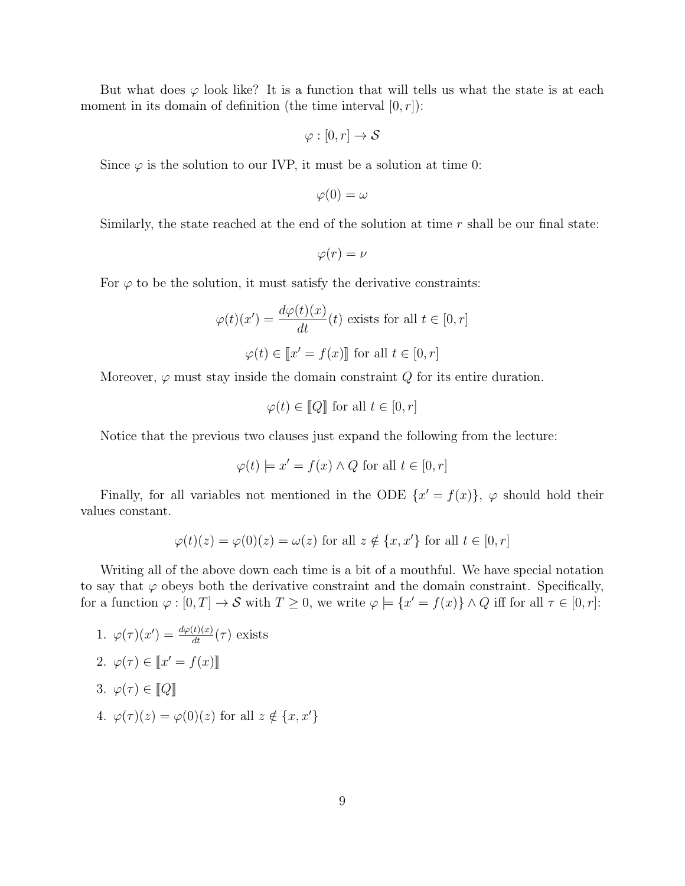But what does  $\varphi$  look like? It is a function that will tells us what the state is at each moment in its domain of definition (the time interval  $[0, r]$ ):

$$
\varphi : [0, r] \to \mathcal{S}
$$

Since  $\varphi$  is the solution to our IVP, it must be a solution at time 0:

$$
\varphi(0)=\omega
$$

Similarly, the state reached at the end of the solution at time  $r$  shall be our final state:

$$
\varphi(r)=\nu
$$

For  $\varphi$  to be the solution, it must satisfy the derivative constraints:

$$
\varphi(t)(x') = \frac{d\varphi(t)(x)}{dt}(t) \text{ exists for all } t \in [0, r]
$$

$$
\varphi(t) \in [x' = f(x)] \text{ for all } t \in [0, r]
$$

Moreover,  $\varphi$  must stay inside the domain constraint  $Q$  for its entire duration.

$$
\varphi(t) \in [ \! [ Q ] \! ] \text{ for all } t \in [0, r]
$$

Notice that the previous two clauses just expand the following from the lecture:

$$
\varphi(t) \models x' = f(x) \land Q \text{ for all } t \in [0, r]
$$

Finally, for all variables not mentioned in the ODE  $\{x' = f(x)\}\text{, } \varphi$  should hold their values constant.

$$
\varphi(t)(z) = \varphi(0)(z) = \omega(z) \text{ for all } z \notin \{x, x'\} \text{ for all } t \in [0, r]
$$

Writing all of the above down each time is a bit of a mouthful. We have special notation to say that  $\varphi$  obeys both the derivative constraint and the domain constraint. Specifically, for a function  $\varphi : [0, T] \to S$  with  $T \geq 0$ , we write  $\varphi \models {\{x' = f(x)\}\land Q}$  iff for all  $\tau \in [0, r]$ :

1. 
$$
\varphi(\tau)(x') = \frac{d\varphi(t)(x)}{dt}(\tau)
$$
 exists  
\n2.  $\varphi(\tau) \in [x' = f(x)]$   
\n3.  $\varphi(\tau) \in [Q]$   
\n4.  $\varphi(\tau)(z) = \varphi(0)(z)$  for all  $z \notin \{x, x'\}$